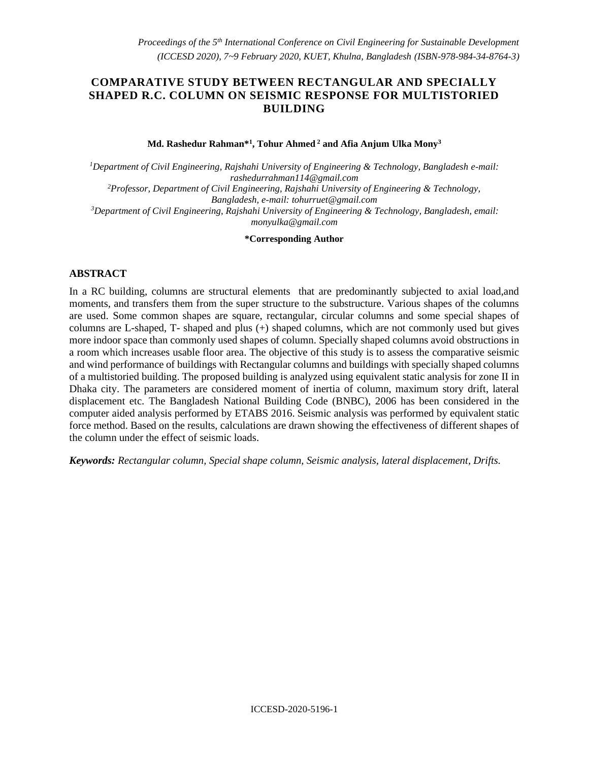# **COMPARATIVE STUDY BETWEEN RECTANGULAR AND SPECIALLY SHAPED R.C. COLUMN ON SEISMIC RESPONSE FOR MULTISTORIED BUILDING**

**Md. Rashedur Rahman\*<sup>1</sup> , Tohur Ahmed <sup>2</sup> and Afia Anjum Ulka Mony<sup>3</sup>**

*<sup>1</sup>Department of Civil Engineering, Rajshahi University of Engineering & Technology, Bangladesh e-mail: [rashedurrahman114@gmail.com](mailto:rashedurrahman114@gmail.com) <sup>2</sup>Professor, Department of Civil Engineering, Rajshahi University of Engineering & Technology, Bangladesh, e-mail: [tohurruet@gmail.com](mailto:tohurruet@gmail.com) <sup>3</sup>Department of Civil Engineering, Rajshahi University of Engineering & Technology, Bangladesh, email: [monyulka@gmail.com](mailto:monyulka@gmail.com)*

**\*Corresponding Author**

#### **ABSTRACT**

In a RC building, columns are structural elements that are predominantly subjected to axial load,and moments, and transfers them from the super structure to the substructure. Various shapes of the columns are used. Some common shapes are square, rectangular, circular columns and some special shapes of columns are L-shaped, T- shaped and plus (+) shaped columns, which are not commonly used but gives more indoor space than commonly used shapes of column. Specially shaped columns avoid obstructions in a room which increases usable floor area. The objective of this study is to assess the comparative seismic and wind performance of buildings with Rectangular columns and buildings with specially shaped columns of a multistoried building. The proposed building is analyzed using equivalent static analysis for zone II in Dhaka city. The parameters are considered moment of inertia of column, maximum story drift, lateral displacement etc. The Bangladesh National Building Code (BNBC), 2006 has been considered in the computer aided analysis performed by ETABS 2016. Seismic analysis was performed by equivalent static force method. Based on the results, calculations are drawn showing the effectiveness of different shapes of the column under the effect of seismic loads.

*Keywords: Rectangular column, Special shape column, Seismic analysis, lateral displacement, Drifts.*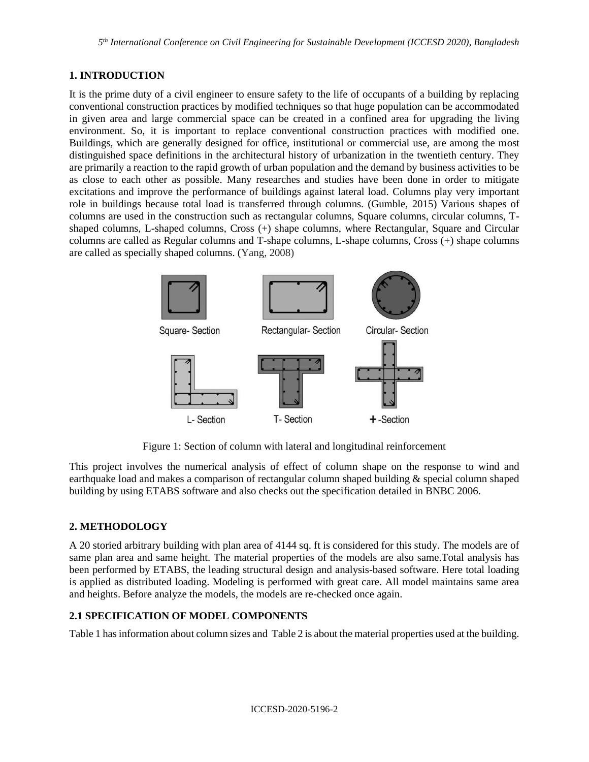## **1. INTRODUCTION**

It is the prime duty of a civil engineer to ensure safety to the life of occupants of a building by replacing conventional construction practices by modified techniques so that huge population can be accommodated in given area and large commercial space can be created in a confined area for upgrading the living environment. So, it is important to replace conventional construction practices with modified one. Buildings, which are generally designed for office, institutional or commercial use, are among the most distinguished space definitions in the architectural history of urbanization in the twentieth century. They are primarily a reaction to the rapid growth of urban population and the demand by business activities to be as close to each other as possible. Many researches and studies have been done in order to mitigate excitations and improve the performance of buildings against lateral load. Columns play very important role in buildings because total load is transferred through columns. (Gumble, 2015) Various shapes of columns are used in the construction such as rectangular columns, Square columns, circular columns, Tshaped columns, L-shaped columns, Cross (+) shape columns, where Rectangular, Square and Circular columns are called as Regular columns and T-shape columns, L-shape columns, Cross (+) shape columns are called as specially shaped columns. (Yang, 2008)



Figure 1: Section of column with lateral and longitudinal reinforcement

This project involves the numerical analysis of effect of column shape on the response to wind and earthquake load and makes a comparison of rectangular column shaped building & special column shaped building by using ETABS software and also checks out the specification detailed in BNBC 2006.

# **2. METHODOLOGY**

A 20 storied arbitrary building with plan area of 4144 sq. ft is considered for this study. The models are of same plan area and same height. The material properties of the models are also same.Total analysis has been performed by ETABS, the leading structural design and analysis-based software. Here total loading is applied as distributed loading. Modeling is performed with great care. All model maintains same area and heights. Before analyze the models, the models are re-checked once again.

## **2.1 SPECIFICATION OF MODEL COMPONENTS**

Table 1 has information about column sizes and Table 2 is about the material properties used at the building.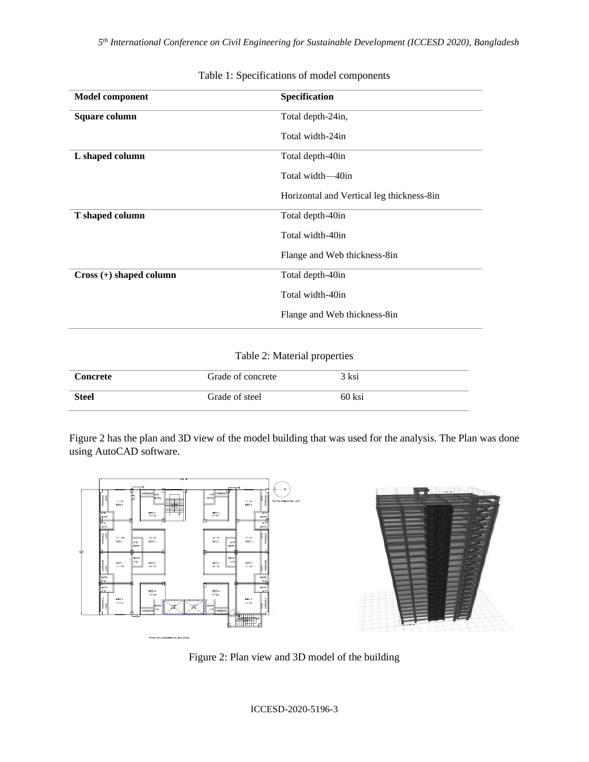*5 th International Conference on Civil Engineering for Sustainable Development (ICCESD 2020), Bangladesh*

| <b>Model component</b>    | Specification                             |  |
|---------------------------|-------------------------------------------|--|
| Square column             | Total depth-24in,                         |  |
|                           | Total width-24in                          |  |
| L shaped column           | Total depth-40in                          |  |
|                           | Total width-40in                          |  |
|                           | Horizontal and Vertical leg thickness-8in |  |
| T shaped column           | Total depth-40in                          |  |
|                           | Total width-40in                          |  |
|                           | Flange and Web thickness-8in              |  |
| $Cross (+) shaped column$ | Total depth-40in                          |  |
|                           | Total width-40in                          |  |
|                           | Flange and Web thickness-8in              |  |

Table 1: Specifications of model components

## Table 2: Material properties

| <b>Concrete</b> | Grade of concrete | 3 ksi  |
|-----------------|-------------------|--------|
| <b>Steel</b>    | Grade of steel    | 60 ksi |

Figure 2 has the plan and 3D view of the model building that was used for the analysis. The Plan was done using AutoCAD software.



Figure 2: Plan view and 3D model of the building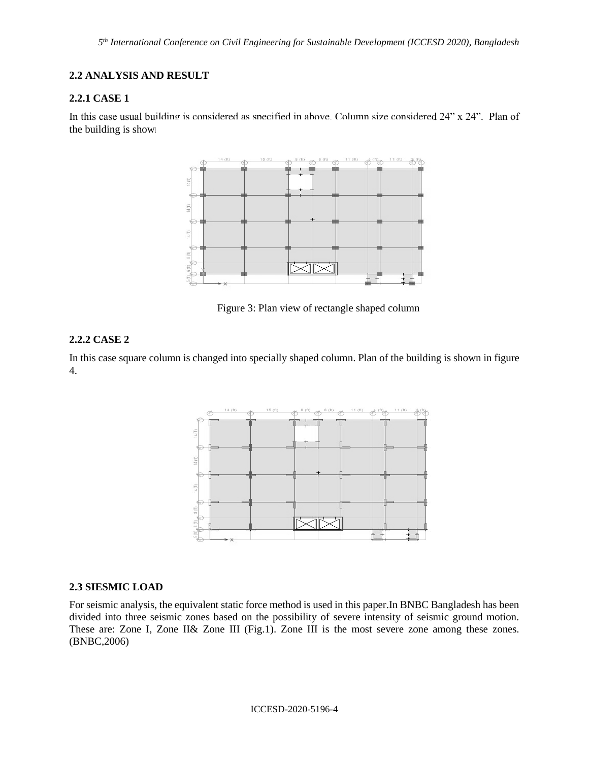## **2.2 ANALYSIS AND RESULT**

#### **2.2.1 CASE 1**

In this case usual building is considered as specified in above. Column size considered 24" x 24". Plan of the building is shown



Figure 3: Plan view of rectangle shaped column

## **2.2.2 CASE 2**

In this case square column is changed into specially shaped column. Plan of the building is shown in figure 4.



#### **2.3 SIESMIC LOAD**

For seismic analysis, the equivalent static force method is used in this paper.In BNBC Bangladesh has been divided into three seismic zones based on the possibility of severe intensity of seismic ground motion. These are: Zone I, Zone II& Zone III (Fig.1). Zone III is the most severe zone among these zones. (BNBC,2006)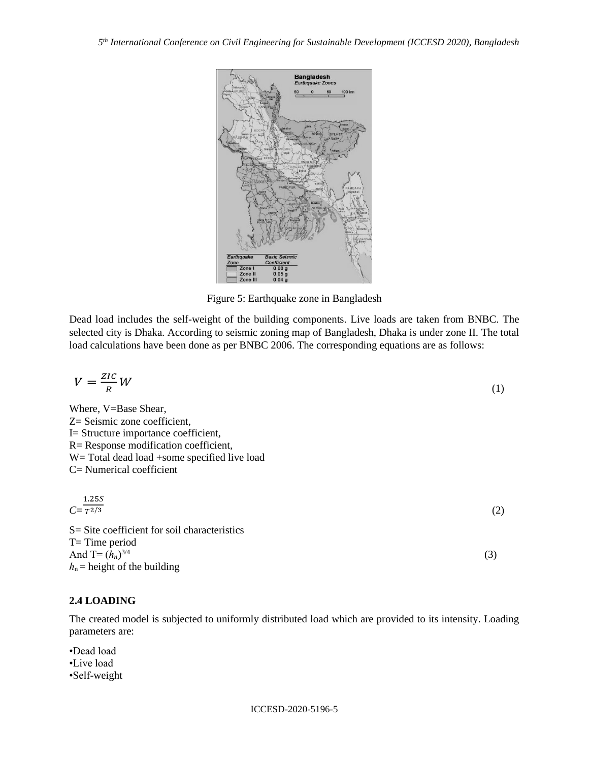

Figure 5: Earthquake zone in Bangladesh

Dead load includes the self-weight of the building components. Live loads are taken from BNBC. The selected city is Dhaka. According to seismic zoning map of Bangladesh, Dhaka is under zone II. The total load calculations have been done as per BNBC 2006. The corresponding equations are as follows:

$$
V = \frac{ZIC}{R}W\tag{1}
$$

Where, V=Base Shear, Z= Seismic zone coefficient, I= Structure importance coefficient, R= Response modification coefficient, W= Total dead load +some specified live load C= Numerical coefficient

$$
C = \frac{1.25S}{T^{2/3}}
$$
\n
$$
S = \text{Site coefficient for soil characteristics}
$$
\n
$$
T = \text{Time period}
$$
\n
$$
(2)
$$

(3)

**2.4 LOADING**

And  $T=(h_n)^{3/4}$ 

 $h_n$  = height of the building

The created model is subjected to uniformly distributed load which are provided to its intensity. Loading parameters are:

•Dead load •Live load •Self-weight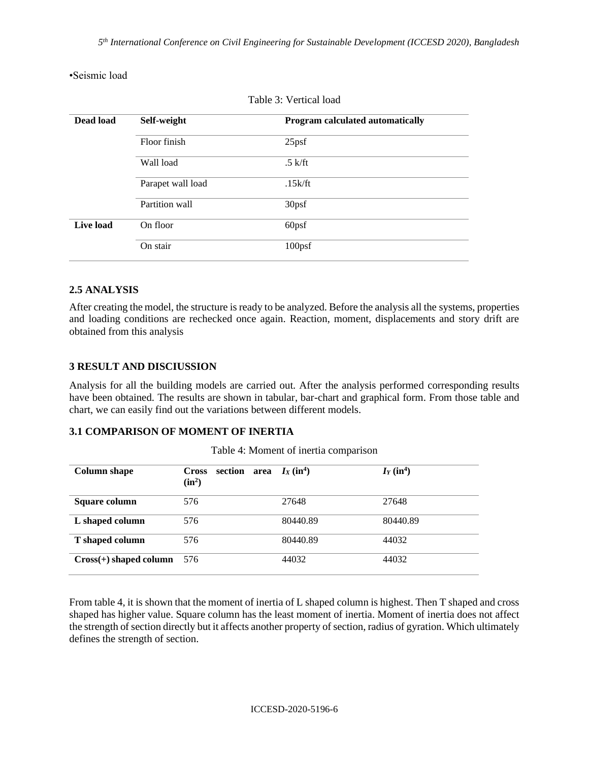•Seismic load

| Dead load | Self-weight       | Program calculated automatically |  |
|-----------|-------------------|----------------------------------|--|
|           | Floor finish      | 25 <sub>psf</sub>                |  |
|           | Wall load         | $.5$ k/ft                        |  |
|           | Parapet wall load | .15k/ft                          |  |
|           | Partition wall    | 30psf                            |  |
| Live load | On floor          | 60psf                            |  |
|           | On stair          | 100 <sub>psf</sub>               |  |

Table 3: Vertical load

## **2.5 ANALYSIS**

After creating the model, the structure is ready to be analyzed. Before the analysis all the systems, properties and loading conditions are rechecked once again. Reaction, moment, displacements and story drift are obtained from this analysis

## **3 RESULT AND DISCIUSSION**

Analysis for all the building models are carried out. After the analysis performed corresponding results have been obtained. The results are shown in tabular, bar-chart and graphical form. From those table and chart, we can easily find out the variations between different models.

## **3.1 COMPARISON OF MOMENT OF INERTIA**

| <b>Column shape</b>      | section area $I_X(\text{in}^4)$<br>Cross<br>$(in^2)$ |          | $I_Y(\text{in}^4)$ |
|--------------------------|------------------------------------------------------|----------|--------------------|
| Square column            | 576                                                  | 27648    | 27648              |
| L shaped column          | 576                                                  | 80440.89 | 80440.89           |
| T shaped column          | 576                                                  | 80440.89 | 44032              |
| $Cross(+)$ shaped column | 576                                                  | 44032    | 44032              |

Table 4: Moment of inertia comparison

From table 4, it is shown that the moment of inertia of L shaped column is highest. Then T shaped and cross shaped has higher value. Square column has the least moment of inertia. Moment of inertia does not affect the strength of section directly but it affects another property of section, radius of gyration. Which ultimately defines the strength of section.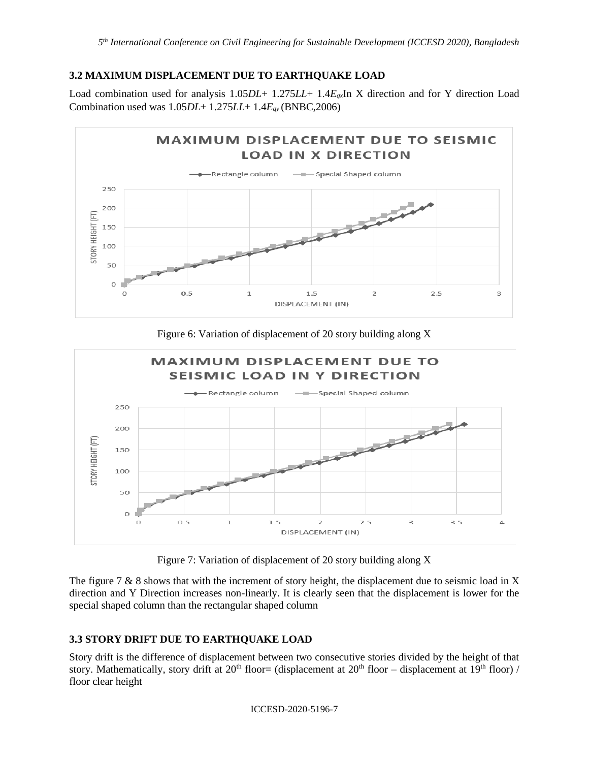## **3.2 MAXIMUM DISPLACEMENT DUE TO EARTHQUAKE LOAD**

Load combination used for analysis 1.05*DL*+ 1.275*LL*+ 1.4*Eqx*In X direction and for Y direction Load Combination used was 1.05*DL*+ 1.275*LL*+ 1.4*Eqy* (BNBC,2006)



Figure 6: Variation of displacement of 20 story building along X



Figure 7: Variation of displacement of 20 story building along X

The figure 7  $\&$  8 shows that with the increment of story height, the displacement due to seismic load in X direction and Y Direction increases non-linearly. It is clearly seen that the displacement is lower for the special shaped column than the rectangular shaped column

# **3.3 STORY DRIFT DUE TO EARTHQUAKE LOAD**

Story drift is the difference of displacement between two consecutive stories divided by the height of that story. Mathematically, story drift at 20<sup>th</sup> floor= (displacement at 20<sup>th</sup> floor – displacement at 19<sup>th</sup> floor) / floor clear height

ICCESD-2020-5196-7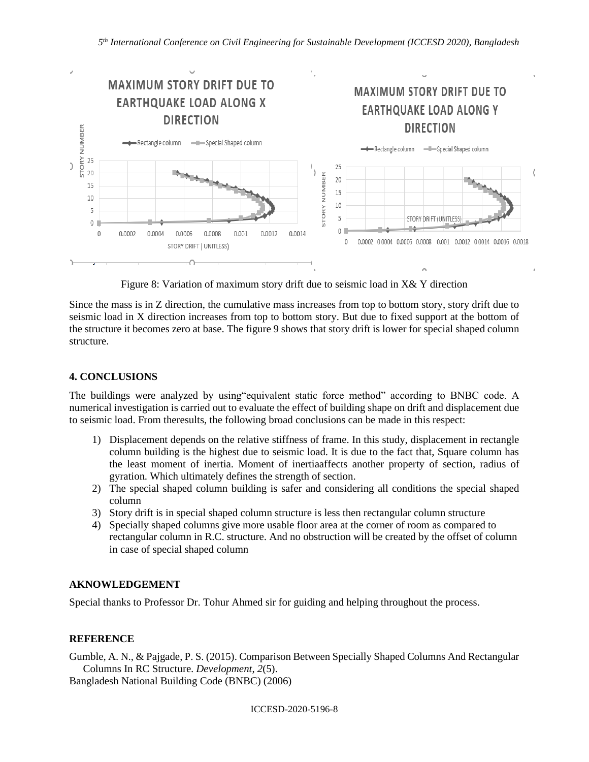

Figure 8: Variation of maximum story drift due to seismic load in X& Y direction

Since the mass is in Z direction, the cumulative mass increases from top to bottom story, story drift due to seismic load in X direction increases from top to bottom story. But due to fixed support at the bottom of the structure it becomes zero at base. The figure 9 shows that story drift is lower for special shaped column structure.

### **4. CONCLUSIONS**

The buildings were analyzed by using"equivalent static force method" according to BNBC code. A numerical investigation is carried out to evaluate the effect of building shape on drift and displacement due to seismic load. From theresults, the following broad conclusions can be made in this respect:

- 1) Displacement depends on the relative stiffness of frame. In this study, displacement in rectangle column building is the highest due to seismic load. It is due to the fact that, Square column has the least moment of inertia. Moment of inertiaaffects another property of section, radius of gyration. Which ultimately defines the strength of section.
- 2) The special shaped column building is safer and considering all conditions the special shaped column
- 3) Story drift is in special shaped column structure is less then rectangular column structure
- 4) Specially shaped columns give more usable floor area at the corner of room as compared to rectangular column in R.C. structure. And no obstruction will be created by the offset of column in case of special shaped column

## **AKNOWLEDGEMENT**

Special thanks to Professor Dr. Tohur Ahmed sir for guiding and helping throughout the process.

#### **REFERENCE**

Gumble, A. N., & Pajgade, P. S. (2015). Comparison Between Specially Shaped Columns And Rectangular Columns In RC Structure. *Development*, *2*(5).

Bangladesh National Building Code (BNBC) (2006)